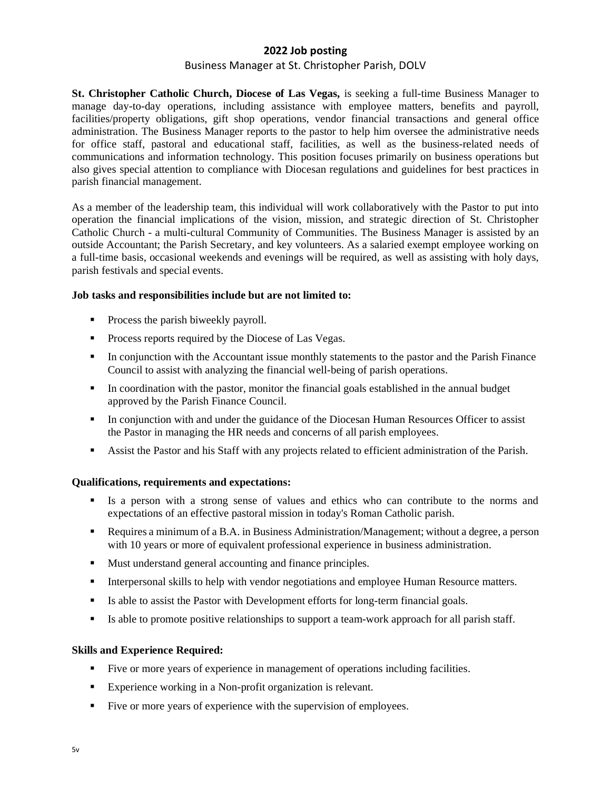# **2022 Job posting** Business Manager at St. Christopher Parish, DOLV

**St. Christopher Catholic Church, Diocese of Las Vegas,** is seeking a full-time Business Manager to manage day-to-day operations, including assistance with employee matters, benefits and payroll, facilities/property obligations, gift shop operations, vendor financial transactions and general office administration. The Business Manager reports to the pastor to help him oversee the administrative needs for office staff, pastoral and educational staff, facilities, as well as the business-related needs of communications and information technology. This position focuses primarily on business operations but also gives special attention to compliance with Diocesan regulations and guidelines for best practices in parish financial management.

As a member of the leadership team, this individual will work collaboratively with the Pastor to put into operation the financial implications of the vision, mission, and strategic direction of St. Christopher Catholic Church - a multi-cultural Community of Communities. The Business Manager is assisted by an outside Accountant; the Parish Secretary, and key volunteers. As a salaried exempt employee working on a full-time basis, occasional weekends and evenings will be required, as well as assisting with holy days, parish festivals and special events.

## **Job tasks and responsibilities include but are not limited to:**

- **•** Process the parish biweekly payroll.
- Process reports required by the Diocese of Las Vegas.
- **In conjunction with the Accountant issue monthly statements to the pastor and the Parish Finance** Council to assist with analyzing the financial well-being of parish operations.
- In coordination with the pastor, monitor the financial goals established in the annual budget approved by the Parish Finance Council.
- **•** In conjunction with and under the guidance of the Diocesan Human Resources Officer to assist the Pastor in managing the HR needs and concerns of all parish employees.
- Assist the Pastor and his Staff with any projects related to efficient administration of the Parish.

## **Qualifications, requirements and expectations:**

- Is a person with a strong sense of values and ethics who can contribute to the norms and expectations of an effective pastoral mission in today's Roman Catholic parish.
- Requires a minimum of a B.A. in Business Administration/Management; without a degree, a person with 10 years or more of equivalent professional experience in business administration.
- Must understand general accounting and finance principles.
- **•** Interpersonal skills to help with vendor negotiations and employee Human Resource matters.
- **Example 1** Is able to assist the Pastor with Development efforts for long-term financial goals.
- Is able to promote positive relationships to support a team-work approach for all parish staff.

## **Skills and Experience Required:**

- Five or more years of experience in management of operations including facilities.
- Experience working in a Non-profit organization is relevant.
- Five or more years of experience with the supervision of employees.